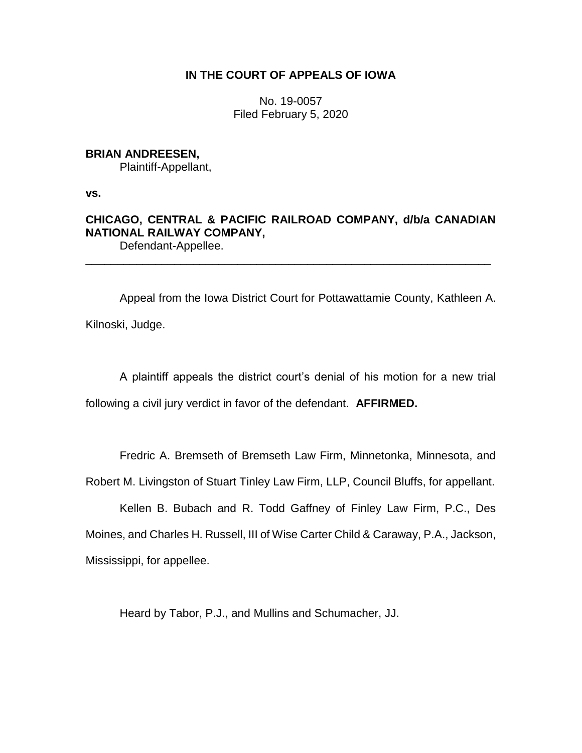# **IN THE COURT OF APPEALS OF IOWA**

No. 19-0057 Filed February 5, 2020

# **BRIAN ANDREESEN,**

Plaintiff-Appellant,

**vs.**

# **CHICAGO, CENTRAL & PACIFIC RAILROAD COMPANY, d/b/a CANADIAN NATIONAL RAILWAY COMPANY,** Defendant-Appellee.

\_\_\_\_\_\_\_\_\_\_\_\_\_\_\_\_\_\_\_\_\_\_\_\_\_\_\_\_\_\_\_\_\_\_\_\_\_\_\_\_\_\_\_\_\_\_\_\_\_\_\_\_\_\_\_\_\_\_\_\_\_\_\_\_

Appeal from the Iowa District Court for Pottawattamie County, Kathleen A. Kilnoski, Judge.

A plaintiff appeals the district court's denial of his motion for a new trial following a civil jury verdict in favor of the defendant. **AFFIRMED.** 

Fredric A. Bremseth of Bremseth Law Firm, Minnetonka, Minnesota, and

Robert M. Livingston of Stuart Tinley Law Firm, LLP, Council Bluffs, for appellant.

Kellen B. Bubach and R. Todd Gaffney of Finley Law Firm, P.C., Des Moines, and Charles H. Russell, III of Wise Carter Child & Caraway, P.A., Jackson, Mississippi, for appellee.

Heard by Tabor, P.J., and Mullins and Schumacher, JJ.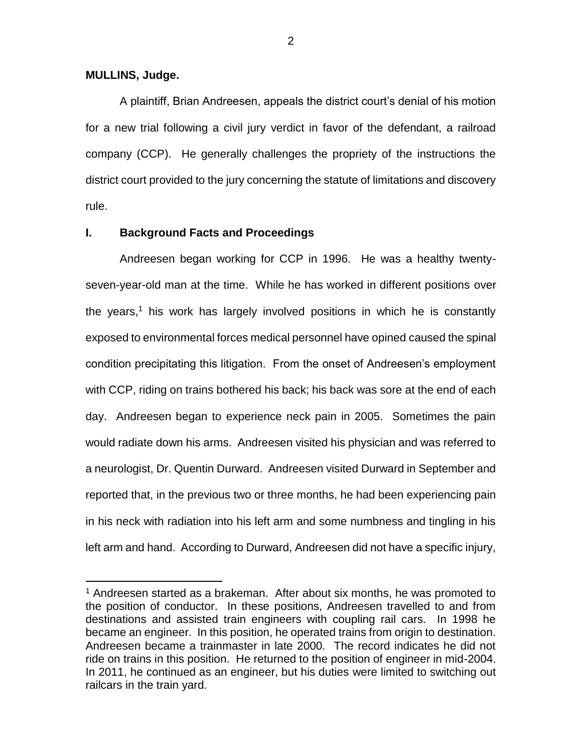## **MULLINS, Judge.**

 $\overline{a}$ 

A plaintiff, Brian Andreesen, appeals the district court's denial of his motion for a new trial following a civil jury verdict in favor of the defendant, a railroad company (CCP). He generally challenges the propriety of the instructions the district court provided to the jury concerning the statute of limitations and discovery rule.

# **I. Background Facts and Proceedings**

Andreesen began working for CCP in 1996. He was a healthy twentyseven-year-old man at the time. While he has worked in different positions over the years,<sup>1</sup> his work has largely involved positions in which he is constantly exposed to environmental forces medical personnel have opined caused the spinal condition precipitating this litigation. From the onset of Andreesen's employment with CCP, riding on trains bothered his back; his back was sore at the end of each day. Andreesen began to experience neck pain in 2005. Sometimes the pain would radiate down his arms. Andreesen visited his physician and was referred to a neurologist, Dr. Quentin Durward. Andreesen visited Durward in September and reported that, in the previous two or three months, he had been experiencing pain in his neck with radiation into his left arm and some numbness and tingling in his left arm and hand. According to Durward, Andreesen did not have a specific injury,

2

 $1$  Andreesen started as a brakeman. After about six months, he was promoted to the position of conductor. In these positions, Andreesen travelled to and from destinations and assisted train engineers with coupling rail cars. In 1998 he became an engineer. In this position, he operated trains from origin to destination. Andreesen became a trainmaster in late 2000. The record indicates he did not ride on trains in this position. He returned to the position of engineer in mid-2004. In 2011, he continued as an engineer, but his duties were limited to switching out railcars in the train yard.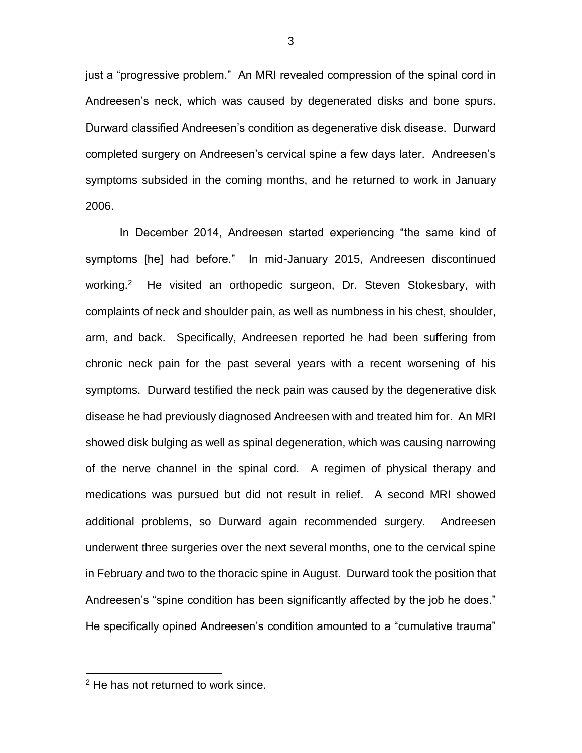just a "progressive problem." An MRI revealed compression of the spinal cord in Andreesen's neck, which was caused by degenerated disks and bone spurs. Durward classified Andreesen's condition as degenerative disk disease. Durward completed surgery on Andreesen's cervical spine a few days later. Andreesen's symptoms subsided in the coming months, and he returned to work in January 2006.

In December 2014, Andreesen started experiencing "the same kind of symptoms [he] had before." In mid-January 2015, Andreesen discontinued working.<sup>2</sup> He visited an orthopedic surgeon, Dr. Steven Stokesbary, with complaints of neck and shoulder pain, as well as numbness in his chest, shoulder, arm, and back. Specifically, Andreesen reported he had been suffering from chronic neck pain for the past several years with a recent worsening of his symptoms. Durward testified the neck pain was caused by the degenerative disk disease he had previously diagnosed Andreesen with and treated him for. An MRI showed disk bulging as well as spinal degeneration, which was causing narrowing of the nerve channel in the spinal cord. A regimen of physical therapy and medications was pursued but did not result in relief. A second MRI showed additional problems, so Durward again recommended surgery. Andreesen underwent three surgeries over the next several months, one to the cervical spine in February and two to the thoracic spine in August. Durward took the position that Andreesen's "spine condition has been significantly affected by the job he does." He specifically opined Andreesen's condition amounted to a "cumulative trauma"

 $\overline{a}$ 

<sup>2</sup> He has not returned to work since.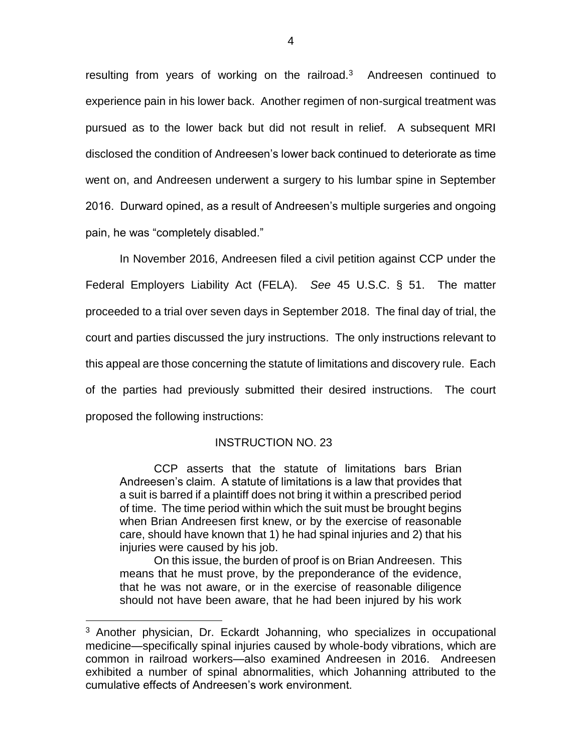resulting from years of working on the railroad.<sup>3</sup> Andreesen continued to experience pain in his lower back. Another regimen of non-surgical treatment was pursued as to the lower back but did not result in relief. A subsequent MRI disclosed the condition of Andreesen's lower back continued to deteriorate as time went on, and Andreesen underwent a surgery to his lumbar spine in September 2016. Durward opined, as a result of Andreesen's multiple surgeries and ongoing pain, he was "completely disabled."

In November 2016, Andreesen filed a civil petition against CCP under the Federal Employers Liability Act (FELA). *See* 45 U.S.C. § 51. The matter proceeded to a trial over seven days in September 2018. The final day of trial, the court and parties discussed the jury instructions. The only instructions relevant to this appeal are those concerning the statute of limitations and discovery rule. Each of the parties had previously submitted their desired instructions. The court proposed the following instructions:

## INSTRUCTION NO. 23

CCP asserts that the statute of limitations bars Brian Andreesen's claim. A statute of limitations is a law that provides that a suit is barred if a plaintiff does not bring it within a prescribed period of time. The time period within which the suit must be brought begins when Brian Andreesen first knew, or by the exercise of reasonable care, should have known that 1) he had spinal injuries and 2) that his injuries were caused by his job.

On this issue, the burden of proof is on Brian Andreesen. This means that he must prove, by the preponderance of the evidence, that he was not aware, or in the exercise of reasonable diligence should not have been aware, that he had been injured by his work

 $\overline{a}$ 

<sup>&</sup>lt;sup>3</sup> Another physician, Dr. Eckardt Johanning, who specializes in occupational medicine—specifically spinal injuries caused by whole-body vibrations, which are common in railroad workers—also examined Andreesen in 2016. Andreesen exhibited a number of spinal abnormalities, which Johanning attributed to the cumulative effects of Andreesen's work environment.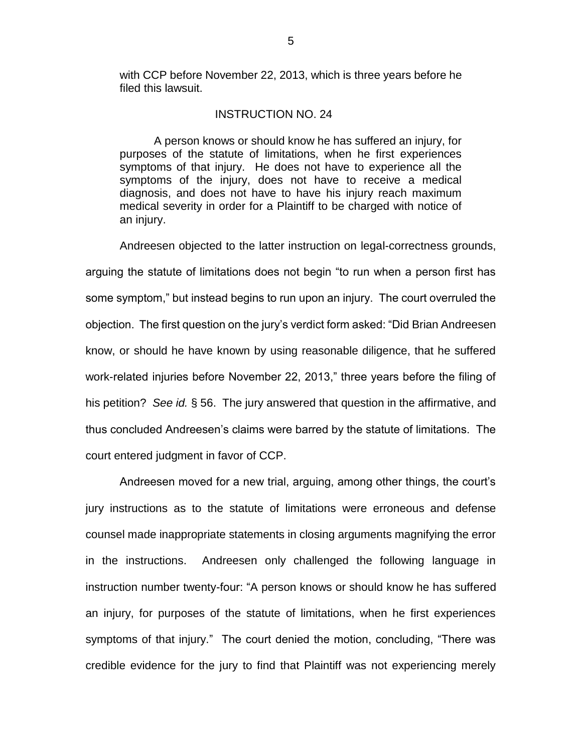with CCP before November 22, 2013, which is three years before he filed this lawsuit.

## INSTRUCTION NO. 24

A person knows or should know he has suffered an injury, for purposes of the statute of limitations, when he first experiences symptoms of that injury. He does not have to experience all the symptoms of the injury, does not have to receive a medical diagnosis, and does not have to have his injury reach maximum medical severity in order for a Plaintiff to be charged with notice of an injury.

Andreesen objected to the latter instruction on legal-correctness grounds, arguing the statute of limitations does not begin "to run when a person first has some symptom," but instead begins to run upon an injury. The court overruled the objection. The first question on the jury's verdict form asked: "Did Brian Andreesen know, or should he have known by using reasonable diligence, that he suffered work-related injuries before November 22, 2013," three years before the filing of his petition? *See id.* § 56. The jury answered that question in the affirmative, and thus concluded Andreesen's claims were barred by the statute of limitations. The court entered judgment in favor of CCP.

Andreesen moved for a new trial, arguing, among other things, the court's jury instructions as to the statute of limitations were erroneous and defense counsel made inappropriate statements in closing arguments magnifying the error in the instructions. Andreesen only challenged the following language in instruction number twenty-four: "A person knows or should know he has suffered an injury, for purposes of the statute of limitations, when he first experiences symptoms of that injury." The court denied the motion, concluding, "There was credible evidence for the jury to find that Plaintiff was not experiencing merely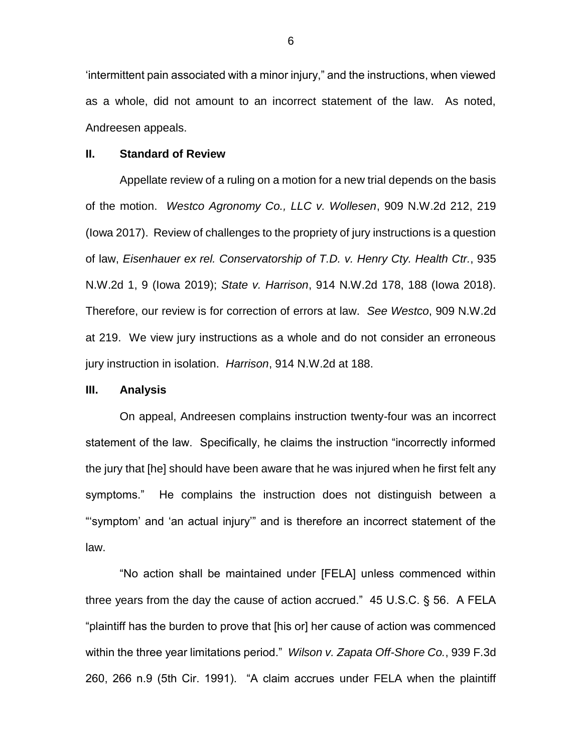'intermittent pain associated with a minor injury," and the instructions, when viewed as a whole, did not amount to an incorrect statement of the law. As noted, Andreesen appeals.

### **II. Standard of Review**

Appellate review of a ruling on a motion for a new trial depends on the basis of the motion. *Westco Agronomy Co., LLC v. Wollesen*, 909 N.W.2d 212, 219 (Iowa 2017). Review of challenges to the propriety of jury instructions is a question of law, *Eisenhauer ex rel. Conservatorship of T.D. v. Henry Cty. Health Ctr.*, 935 N.W.2d 1, 9 (Iowa 2019); *State v. Harrison*, 914 N.W.2d 178, 188 (Iowa 2018). Therefore, our review is for correction of errors at law. *See Westco*, 909 N.W.2d at 219. We view jury instructions as a whole and do not consider an erroneous jury instruction in isolation. *Harrison*, 914 N.W.2d at 188.

### **III. Analysis**

On appeal, Andreesen complains instruction twenty-four was an incorrect statement of the law. Specifically, he claims the instruction "incorrectly informed the jury that [he] should have been aware that he was injured when he first felt any symptoms." He complains the instruction does not distinguish between a "'symptom' and 'an actual injury'" and is therefore an incorrect statement of the law.

"No action shall be maintained under [FELA] unless commenced within three years from the day the cause of action accrued." 45 U.S.C. § 56. A FELA "plaintiff has the burden to prove that [his or] her cause of action was commenced within the three year limitations period." *Wilson v. Zapata Off-Shore Co.*, 939 F.3d 260, 266 n.9 (5th Cir. 1991). "A claim accrues under FELA when the plaintiff

6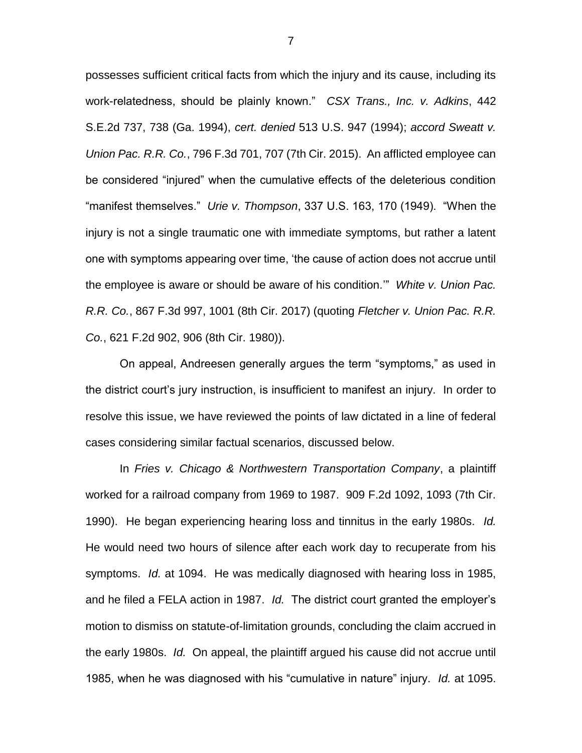possesses sufficient critical facts from which the injury and its cause, including its work-relatedness, should be plainly known." *CSX Trans., Inc. v. Adkins*, 442 S.E.2d 737, 738 (Ga. 1994), *cert. denied* 513 U.S. 947 (1994); *accord Sweatt v. Union Pac. R.R. Co.*, 796 F.3d 701, 707 (7th Cir. 2015). An afflicted employee can be considered "injured" when the cumulative effects of the deleterious condition "manifest themselves." *Urie v. Thompson*, 337 U.S. 163, 170 (1949). "When the injury is not a single traumatic one with immediate symptoms, but rather a latent one with symptoms appearing over time, 'the cause of action does not accrue until the employee is aware or should be aware of his condition.'" *White v. Union Pac. R.R. Co.*, 867 F.3d 997, 1001 (8th Cir. 2017) (quoting *Fletcher v. Union Pac. R.R. Co.*, 621 F.2d 902, 906 (8th Cir. 1980)).

On appeal, Andreesen generally argues the term "symptoms," as used in the district court's jury instruction, is insufficient to manifest an injury. In order to resolve this issue, we have reviewed the points of law dictated in a line of federal cases considering similar factual scenarios, discussed below.

In *Fries v. Chicago & Northwestern Transportation Company*, a plaintiff worked for a railroad company from 1969 to 1987. 909 F.2d 1092, 1093 (7th Cir. 1990). He began experiencing hearing loss and tinnitus in the early 1980s. *Id.* He would need two hours of silence after each work day to recuperate from his symptoms. *Id.* at 1094. He was medically diagnosed with hearing loss in 1985, and he filed a FELA action in 1987. *Id.* The district court granted the employer's motion to dismiss on statute-of-limitation grounds, concluding the claim accrued in the early 1980s. *Id.* On appeal, the plaintiff argued his cause did not accrue until 1985, when he was diagnosed with his "cumulative in nature" injury. *Id.* at 1095.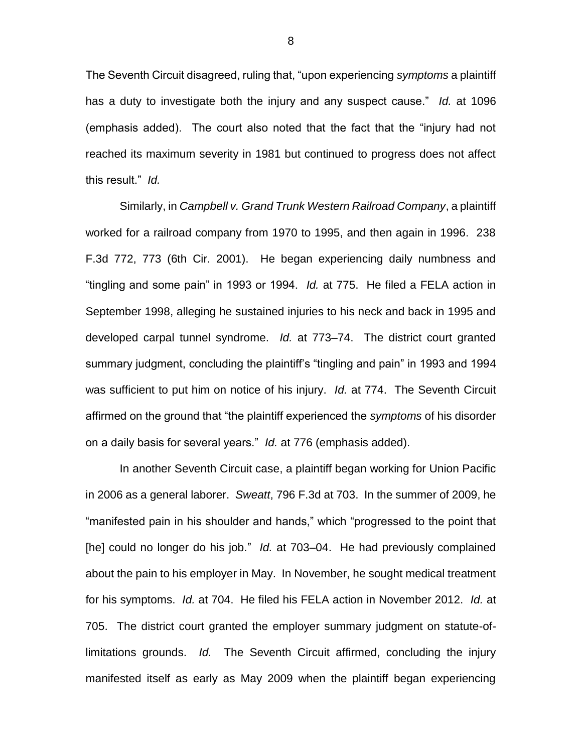The Seventh Circuit disagreed, ruling that, "upon experiencing *symptoms* a plaintiff has a duty to investigate both the injury and any suspect cause." *Id.* at 1096 (emphasis added). The court also noted that the fact that the "injury had not reached its maximum severity in 1981 but continued to progress does not affect this result." *Id.*

Similarly, in *Campbell v. Grand Trunk Western Railroad Company*, a plaintiff worked for a railroad company from 1970 to 1995, and then again in 1996. 238 F.3d 772, 773 (6th Cir. 2001). He began experiencing daily numbness and "tingling and some pain" in 1993 or 1994. *Id.* at 775. He filed a FELA action in September 1998, alleging he sustained injuries to his neck and back in 1995 and developed carpal tunnel syndrome. *Id.* at 773–74. The district court granted summary judgment, concluding the plaintiff's "tingling and pain" in 1993 and 1994 was sufficient to put him on notice of his injury. *Id.* at 774. The Seventh Circuit affirmed on the ground that "the plaintiff experienced the *symptoms* of his disorder on a daily basis for several years." *Id.* at 776 (emphasis added).

In another Seventh Circuit case, a plaintiff began working for Union Pacific in 2006 as a general laborer. *Sweatt*, 796 F.3d at 703. In the summer of 2009, he "manifested pain in his shoulder and hands," which "progressed to the point that [he] could no longer do his job." *Id.* at 703–04. He had previously complained about the pain to his employer in May. In November, he sought medical treatment for his symptoms. *Id.* at 704. He filed his FELA action in November 2012. *Id.* at 705. The district court granted the employer summary judgment on statute-oflimitations grounds. *Id.* The Seventh Circuit affirmed, concluding the injury manifested itself as early as May 2009 when the plaintiff began experiencing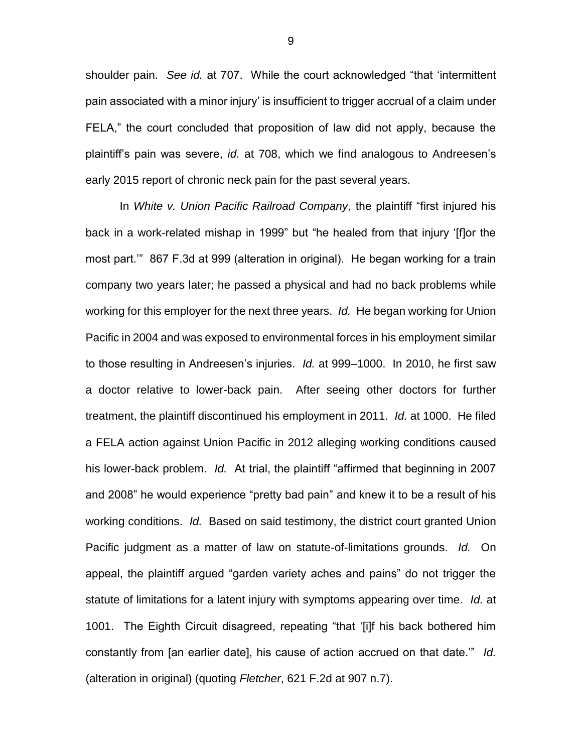shoulder pain. *See id.* at 707. While the court acknowledged "that 'intermittent pain associated with a minor injury' is insufficient to trigger accrual of a claim under FELA," the court concluded that proposition of law did not apply, because the plaintiff's pain was severe, *id.* at 708, which we find analogous to Andreesen's early 2015 report of chronic neck pain for the past several years.

In *White v. Union Pacific Railroad Company*, the plaintiff "first injured his back in a work-related mishap in 1999" but "he healed from that injury '[f]or the most part.'" 867 F.3d at 999 (alteration in original). He began working for a train company two years later; he passed a physical and had no back problems while working for this employer for the next three years. *Id.* He began working for Union Pacific in 2004 and was exposed to environmental forces in his employment similar to those resulting in Andreesen's injuries. *Id.* at 999–1000. In 2010, he first saw a doctor relative to lower-back pain. After seeing other doctors for further treatment, the plaintiff discontinued his employment in 2011. *Id.* at 1000. He filed a FELA action against Union Pacific in 2012 alleging working conditions caused his lower-back problem. *Id.* At trial, the plaintiff "affirmed that beginning in 2007 and 2008" he would experience "pretty bad pain" and knew it to be a result of his working conditions. *Id.* Based on said testimony, the district court granted Union Pacific judgment as a matter of law on statute-of-limitations grounds. *Id.* On appeal, the plaintiff argued "garden variety aches and pains" do not trigger the statute of limitations for a latent injury with symptoms appearing over time. *Id.* at 1001. The Eighth Circuit disagreed, repeating "that '[i]f his back bothered him constantly from [an earlier date], his cause of action accrued on that date.'" *Id.* (alteration in original) (quoting *Fletcher*, 621 F.2d at 907 n.7).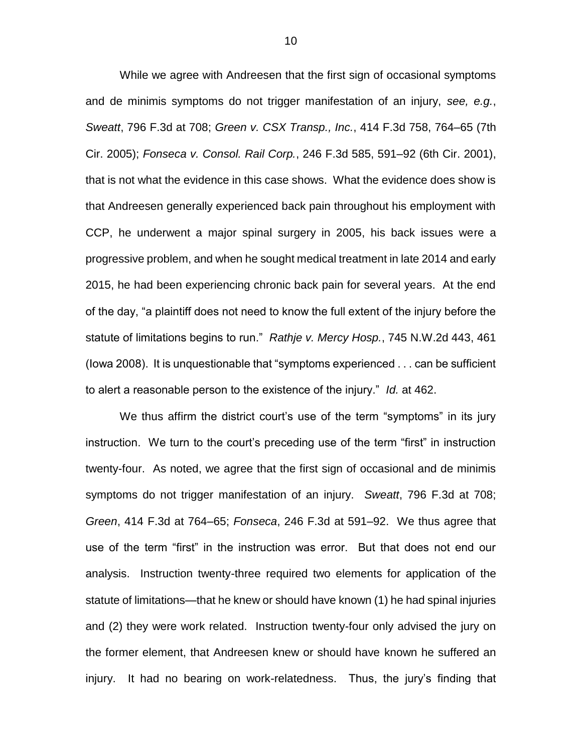While we agree with Andreesen that the first sign of occasional symptoms and de minimis symptoms do not trigger manifestation of an injury, *see, e.g.*, *Sweatt*, 796 F.3d at 708; *Green v. CSX Transp., Inc.*, 414 F.3d 758, 764–65 (7th Cir. 2005); *Fonseca v. Consol. Rail Corp.*, 246 F.3d 585, 591–92 (6th Cir. 2001), that is not what the evidence in this case shows. What the evidence does show is that Andreesen generally experienced back pain throughout his employment with CCP, he underwent a major spinal surgery in 2005, his back issues were a progressive problem, and when he sought medical treatment in late 2014 and early 2015, he had been experiencing chronic back pain for several years. At the end of the day, "a plaintiff does not need to know the full extent of the injury before the statute of limitations begins to run." *Rathje v. Mercy Hosp.*, 745 N.W.2d 443, 461 (Iowa 2008). It is unquestionable that "symptoms experienced . . . can be sufficient to alert a reasonable person to the existence of the injury." *Id.* at 462.

We thus affirm the district court's use of the term "symptoms" in its jury instruction. We turn to the court's preceding use of the term "first" in instruction twenty-four. As noted, we agree that the first sign of occasional and de minimis symptoms do not trigger manifestation of an injury. *Sweatt*, 796 F.3d at 708; *Green*, 414 F.3d at 764–65; *Fonseca*, 246 F.3d at 591–92. We thus agree that use of the term "first" in the instruction was error. But that does not end our analysis. Instruction twenty-three required two elements for application of the statute of limitations—that he knew or should have known (1) he had spinal injuries and (2) they were work related. Instruction twenty-four only advised the jury on the former element, that Andreesen knew or should have known he suffered an injury. It had no bearing on work-relatedness. Thus, the jury's finding that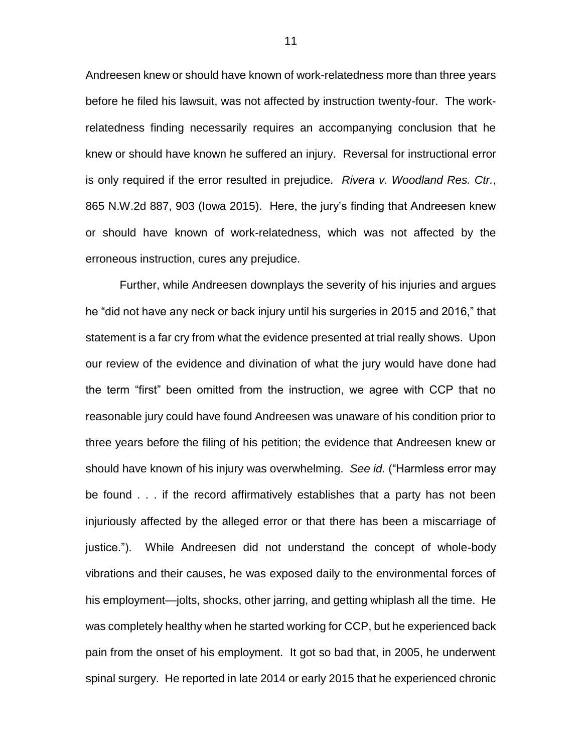Andreesen knew or should have known of work-relatedness more than three years before he filed his lawsuit, was not affected by instruction twenty-four. The workrelatedness finding necessarily requires an accompanying conclusion that he knew or should have known he suffered an injury. Reversal for instructional error is only required if the error resulted in prejudice. *Rivera v. Woodland Res. Ctr.*, 865 N.W.2d 887, 903 (Iowa 2015). Here, the jury's finding that Andreesen knew or should have known of work-relatedness, which was not affected by the erroneous instruction, cures any prejudice.

Further, while Andreesen downplays the severity of his injuries and argues he "did not have any neck or back injury until his surgeries in 2015 and 2016," that statement is a far cry from what the evidence presented at trial really shows. Upon our review of the evidence and divination of what the jury would have done had the term "first" been omitted from the instruction, we agree with CCP that no reasonable jury could have found Andreesen was unaware of his condition prior to three years before the filing of his petition; the evidence that Andreesen knew or should have known of his injury was overwhelming. *See id.* ("Harmless error may be found . . . if the record affirmatively establishes that a party has not been injuriously affected by the alleged error or that there has been a miscarriage of justice."). While Andreesen did not understand the concept of whole-body vibrations and their causes, he was exposed daily to the environmental forces of his employment—jolts, shocks, other jarring, and getting whiplash all the time. He was completely healthy when he started working for CCP, but he experienced back pain from the onset of his employment. It got so bad that, in 2005, he underwent spinal surgery. He reported in late 2014 or early 2015 that he experienced chronic

11